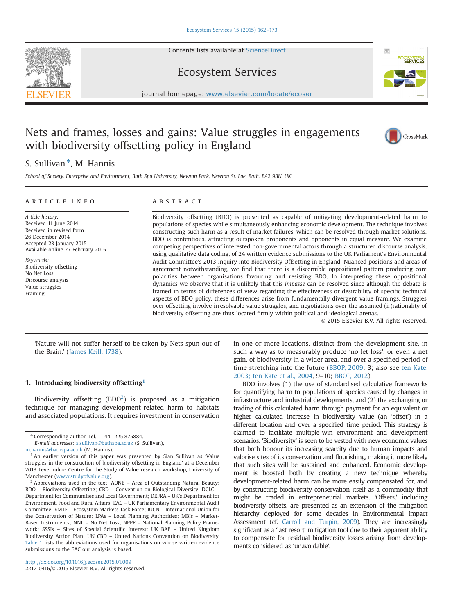Contents lists available at [ScienceDirect](www.sciencedirect.com/science/journal/22120416)







journal homepage: <www.elsevier.com/locate/ecoser>-ecoser-ecoser-ecoser-ecoser-ecoser-ecoser-ecoser-ecoser-ecoser-ecoser-ecoser-ecoser-ecoser-ecoser-ecoser-ecoser-ecoser-ecoser-ecoser-ecoser-ecoser-ecoser-ecoser-ecoser-ecos

# Nets and frames, losses and gains: Value struggles in engagements with biodiversity offsetting policy in England

# CrossMark

# S. Sullivan<sup>\*</sup>, M. Hannis

School of Society, Enterprise and Environment, Bath Spa University, Newton Park, Newton St. Loe, Bath, BA2 9BN, UK

## article info

# ABSTRACT

Article history: Received 11 June 2014 Received in revised form 26 December 2014 Accepted 23 January 2015 Available online 27 February 2015

Keywords: Biodiversity offsetting No Net Loss Discourse analysis Value struggles Framing

Biodiversity offsetting (BDO) is presented as capable of mitigating development-related harm to populations of species while simultaneously enhancing economic development. The technique involves constructing such harm as a result of market failures, which can be resolved through market solutions. BDO is contentious, attracting outspoken proponents and opponents in equal measure. We examine competing perspectives of interested non-governmental actors through a structured discourse analysis, using qualitative data coding, of 24 written evidence submissions to the UK Parliament's Environmental Audit Committee's 2013 Inquiry into Biodiversity Offsetting in England. Nuanced positions and areas of agreement notwithstanding, we find that there is a discernible oppositional pattern producing core polarities between organisations favouring and resisting BDO. In interpreting these oppositional dynamics we observe that it is unlikely that this impasse can be resolved since although the debate is framed in terms of differences of view regarding the effectiveness or desirability of specific technical aspects of BDO policy, these differences arise from fundamentally divergent value framings. Struggles over offsetting involve irresolvable value struggles, and negotiations over the assumed (ir)rationality of biodiversity offsetting are thus located firmly within political and ideological arenas.

 $\odot$  2015 Elsevier B.V. All rights reserved.

'Nature will not suffer herself to be taken by Nets spun out of the Brain.' [\(James Keill, 1738](#page-11-0)).

# 1. Introducing biodiversity offsetting<sup>1</sup>

Biodiversity offsetting (BDO $^2$ ) is proposed as a mitigation technique for managing development-related harm to habitats and associated populations. It requires investment in conservation in one or more locations, distinct from the development site, in such a way as to measurably produce 'no let loss', or even a net gain, of biodiversity in a wider area, and over a specified period of time stretching into the future [\(BBOP, 2009](#page-10-0): 3; also see [ten Kate,](#page-11-0) [2003; ten Kate et al., 2004,](#page-11-0) 9–10; [BBOP, 2012\)](#page-10-0).

BDO involves (1) the use of standardised calculative frameworks for quantifying harm to populations of species caused by changes in infrastructure and industrial developments, and (2) the exchanging or trading of this calculated harm through payment for an equivalent or higher calculated increase in biodiversity value (an 'offset') in a different location and over a specified time period. This strategy is claimed to facilitate multiple-win environment and development scenarios. 'Biodiversity' is seen to be vested with new economic values that both honour its increasing scarcity due to human impacts and valorise sites of its conservation and flourishing, making it more likely that such sites will be sustained and enhanced. Economic development is boosted both by creating a new technique whereby development-related harm can be more easily compensated for, and by constructing biodiversity conservation itself as a commodity that might be traded in entrepreneurial markets. 'Offsets,' including biodiversity offsets, are presented as an extension of the mitigation hierarchy deployed for some decades in Environmental Impact Assessment (cf. [Carroll and Turpin, 2009](#page-11-0)). They are increasingly significant as a 'last resort' mitigation tool due to their apparent ability to compensate for residual biodiversity losses arising from developments considered as 'unavoidable'.

 $*$  Corresponding author. Tel.:  $+44$  1225 875884.

E-mail addresses: [s.sullivan@bathspa.ac.uk](mailto:s.sullivan@bathspa.ac.uk) (S. Sullivan),

[m.hannis@bathspa.ac.uk](mailto:m.hannis@bathspa.ac.uk) (M. Hannis).

<sup>&</sup>lt;sup>1</sup> An earlier version of this paper was presented by Sian Sullivan as 'Value struggles in the construction of biodiversity offsetting in England' at a December 2013 Leverhulme Centre for the Study of Value research workshop, University of Manchester ([www.studyofvalue.org](http://www.studyofvalue.org)).

<sup>&</sup>lt;sup>2</sup> Abbreviations used in the text: AONB - Area of Outstanding Natural Beauty; BDO – Biodiversity Offsetting; CBD – Convention on Biological Diversity; DCLG – Department for Communities and Local Government; DEFRA – UK's Department for Environment, Food and Rural Affairs; EAC – UK Parliamentary Environmental Audit Committee; EMTF – Ecosystem Markets Task Force; IUCN – International Union for the Conservation of Nature; LPAs – Local Planning Authorities; MBIs – Market-Based Instruments; NNL – No Net Loss; NPPF – National Planning Policy Framework; SSSIs – Sites of Special Scientific Interest; UK BAP – United Kingdom Biodiversity Action Plan; UN CBD – United Nations Convention on Biodiversity. [Table 1](#page-3-0) lists the abbreviations used for organisations on whose written evidence submissions to the EAC our analysis is based.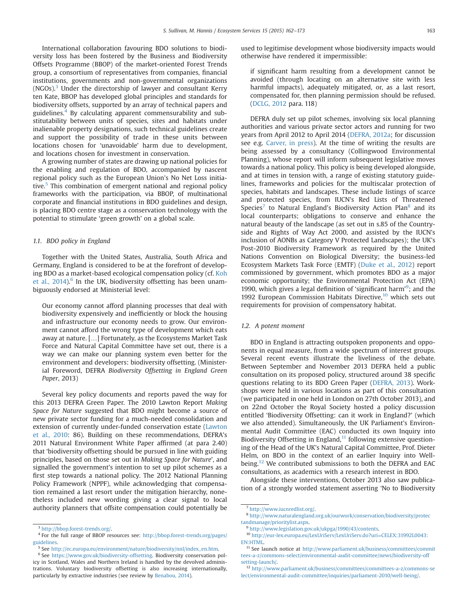International collaboration favouring BDO solutions to biodiversity loss has been fostered by the Business and Biodiversity Offsets Programme (BBOP) of the market-oriented Forest Trends group, a consortium of representatives from companies, financial institutions, governments and non-governmental organizations  $(NGOs)^3$  Under the directorship of lawyer and consultant Kerry ten Kate, BBOP has developed global principles and standards for biodiversity offsets, supported by an array of technical papers and guidelines. $4$  By calculating apparent commensurability and substitutability between units of species, sites and habitats under inalienable property designations, such technical guidelines create and support the possibility of trade in these units between locations chosen for 'unavoidable' harm due to development, and locations chosen for investment in conservation.

A growing number of states are drawing up national policies for the enabling and regulation of BDO, accompanied by nascent regional policy such as the European Union's No Net Loss initiative.<sup>5</sup> This combination of emergent national and regional policy frameworks with the participation, via BBOP, of multinational corporate and financial institutions in BDO guidelines and design, is placing BDO centre stage as a conservation technology with the potential to stimulate 'green growth' on a global scale.

#### 1.1. BDO policy in England

Together with the United States, Australia, South Africa and Germany, England is considered to be at the forefront of developing BDO as a market-based ecological compensation policy (cf. [Koh](#page-11-0) et al.,  $2014$ ).<sup>6</sup> In the UK, biodiversity offsetting has been unambiguously endorsed at Ministerial level:

Our economy cannot afford planning processes that deal with biodiversity expensively and inefficiently or block the housing and infrastructure our economy needs to grow. Our environment cannot afford the wrong type of development which eats away at nature. […] Fortunately, as the Ecosystems Market Task Force and Natural Capital Committee have set out, there is a way we can make our planning system even better for the environment and developers: biodiversity offsetting. (Ministerial Foreword, DEFRA Biodiversity Offsetting in England Green Paper, 2013)

Several key policy documents and reports paved the way for this 2013 DEFRA Green Paper. The 2010 Lawton Report Making Space for Nature suggested that BDO might become a source of new private sector funding for a much-needed consolidation and extension of currently under-funded conservation estate ([Lawton](#page-11-0) [et al., 2010](#page-11-0): 86). Building on these recommendations, DEFRA's 2011 Natural Environment White Paper affirmed (at para 2.40) that 'biodiversity offsetting should be pursued in line with guiding principles, based on those set out in Making Space for Nature', and signalled the government's intention to set up pilot schemes as a first step towards a national policy. The 2012 National Planning Policy Framework (NPPF), while acknowledging that compensation remained a last resort under the mitigation hierarchy, nonetheless included new wording giving a clear signal to local authority planners that offsite compensation could potentially be used to legitimise development whose biodiversity impacts would otherwise have rendered it impermissible:

if significant harm resulting from a development cannot be avoided (through locating on an alternative site with less harmful impacts), adequately mitigated, or, as a last resort, compensated for, then planning permission should be refused. [\(DCLG, 2012](#page-11-0) para. 118)

DEFRA duly set up pilot schemes, involving six local planning authorities and various private sector actors and running for two years from April 2012 to April 2014 [\(DEFRA, 2012a;](#page-11-0) for discussion see e.g. [Carver, in press\)](#page-11-0). At the time of writing the results are being assessed by a consultancy (Collingwood Environmental Planning), whose report will inform subsequent legislative moves towards a national policy. This policy is being developed alongside, and at times in tension with, a range of existing statutory guidelines, frameworks and policies for the multiscalar protection of species, habitats and landscapes. These include listings of scarce and protected species, from IUCN's Red Lists of Threatened Species<sup>7</sup> to Natural England's Biodiversity Action Plan<sup>8</sup> and its local counterparts; obligations to conserve and enhance the natural beauty of the landscape (as set out in s.85 of the Countryside and Rights of Way Act 2000, and assisted by the IUCN's inclusion of AONBs as Category V Protected Landscapes); the UK's Post-2010 Biodiversity Framework as required by the United Nations Convention on Biological Diversity; the business-led Ecosystem Markets Task Force (EMTF) [\(Duke et al., 2012\)](#page-11-0) report commissioned by government, which promotes BDO as a major economic opportunity; the Environmental Protection Act (EPA) 1990, which gives a legal definition of 'significant harm'<sup>9</sup>; and the 1992 European Commission Habitats Directive, $10$  which sets out requirements for provision of compensatory habitat.

#### 1.2. A potent moment

BDO in England is attracting outspoken proponents and opponents in equal measure, from a wide spectrum of interest groups. Several recent events illustrate the liveliness of the debate. Between September and November 2013 DEFRA held a public consultation on its proposed policy, structured around 38 specific questions relating to its BDO Green Paper ([DEFRA, 2013](#page-11-0)). Workshops were held in various locations as part of this consultation (we participated in one held in London on 27th October 2013), and on 22nd October the Royal Society hosted a policy discussion entitled 'Biodiversity Offsetting: can it work in England?' (which we also attended). Simultaneously, the UK Parliament's Environmental Audit Committee (EAC) conducted its own Inquiry into Biodiversity Offsetting in England, $11$  following extensive questioning of the Head of the UK's Natural Capital Committee, Prof. Dieter Helm, on BDO in the context of an earlier Inquiry into Wellbeing.<sup>12</sup> We contributed submissions to both the DEFRA and EAC consultations, as academics with a research interest in BDO.

Alongside these interventions, October 2013 also saw publication of a strongly worded statement asserting 'No to Biodiversity

<sup>3</sup> <http://bbop.forest-trends.org/>.

<sup>4</sup> For the full range of BBOP resources see: [http://bbop.forest-trends.org/pages/](http://bbop.forest-trends.org/pages/guidelines) [guidelines.](http://bbop.forest-trends.org/pages/guidelines)

<sup>5</sup> See [http://ec.europa.eu/environment/nature/biodiversity/nnl/index\\_en.htm.](http://ec.europa.eu/environment/nature/biodiversity/nnl/index_en.htm)

<sup>6</sup> See [https://www.gov.uk/biodiversity-offsetting.](https://www.gov.uk/biodiversity-offsetting) Biodiversity conservation policy in Scotland, Wales and Northern Ireland is handled by the devolved administrations. Voluntary biodiversity offsetting is also increasing internationally, particularly by extractive industries (see review by [Benabou, 2014\)](#page-10-0).

<sup>7</sup> <http://www.iucnredlist.org/>.

<sup>8</sup> [http://www.naturalengland.org.uk/ourwork/conservation/biodiversity/protec](http://www.naturalengland.org.uk/ourwork/conservation/biodiversity/protectandmanage/prioritylist.aspx) [tandmanage/prioritylist.aspx.](http://www.naturalengland.org.uk/ourwork/conservation/biodiversity/protectandmanage/prioritylist.aspx)

[http://www.legislation.gov.uk/ukpga/1990/43/contents.](http://www.legislation.gov.uk/ukpga/1990/43/contents)

<sup>10</sup> [http://eur-lex.europa.eu/LexUriServ/LexUriServ.do?uri](http://eur-lex.europa.eu/LexUriServ/LexUriServ.do?uri=CELEX:31992L0043:EN:HTML)=CELEX:31992L0043: [EN:HTML](http://eur-lex.europa.eu/LexUriServ/LexUriServ.do?uri=CELEX:31992L0043:EN:HTML).

<sup>&</sup>lt;sup>11</sup> See launch notice at [http://www.parliament.uk/business/committees/commit](http://www.parliament.uk/business/committees/committees-a-z/commons-select/environmental-audit-committee/news/biodiversity-offsetting-launch/) [tees-a-z/commons-select/environmental-audit-committee/news/biodiversity-off](http://www.parliament.uk/business/committees/committees-a-z/commons-select/environmental-audit-committee/news/biodiversity-offsetting-launch/) [setting-launch/.](http://www.parliament.uk/business/committees/committees-a-z/commons-select/environmental-audit-committee/news/biodiversity-offsetting-launch/)

<sup>12</sup> [http://www.parliament.uk/business/committees/committees-a-z/commons-se](http://www.parliament.uk/business/committees/committees-a-z/commons-select/environmental-audit-committee/inquiries/parliament-2010/well-being/) [lect/environmental-audit-committee/inquiries/parliament-2010/well-being/](http://www.parliament.uk/business/committees/committees-a-z/commons-select/environmental-audit-committee/inquiries/parliament-2010/well-being/).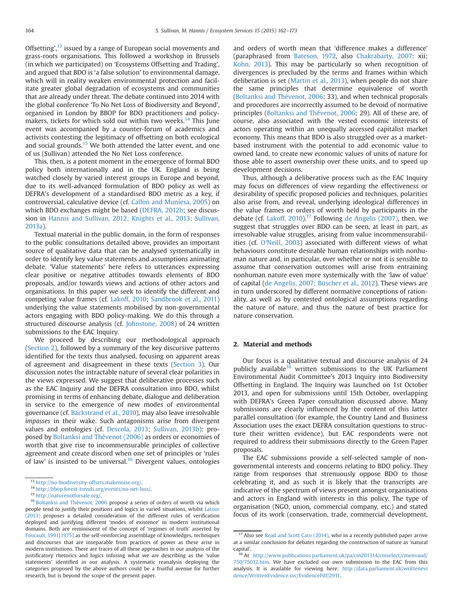Offsetting',<sup>13</sup> issued by a range of European social movements and grass-roots organisations. This followed a workshop in Brussels (in which we participated) on 'Ecosystems Offsetting and Trading', and argued that BDO is 'a false solution' to environmental damage, which will in reality weaken environmental protection and facilitate greater global degradation of ecosystems and communities that are already under threat. The debate continued into 2014 with the global conference 'To No Net Loss of Biodiversity and Beyond', organised in London by BBOP for BDO practitioners and policymakers, tickets for which sold out within two weeks.<sup>14</sup> This June event was accompanied by a counter-forum of academics and activists contesting the legitimacy of offsetting on both ecological and social grounds.<sup>15</sup> We both attended the latter event, and one of us (Sullivan) attended the No Net Loss conference.

This, then, is a potent moment in the emergence of formal BDO policy both internationally and in the UK. England is being watched closely by varied interest groups in Europe and beyond, due to its well-advanced formulation of BDO policy as well as DEFRA's development of a standardised BDO metric as a key, if controversial, calculative device (cf. [Callon and Muniesa, 2005\)](#page-11-0) on which BDO exchanges might be based ([DEFRA, 2012b;](#page-11-0) see discussion in [Hannis and Sullivan, 2012; Knights et al., 2013; Sullivan,](#page-11-0) [2013a](#page-11-0)).

Textual material in the public domain, in the form of responses to the public consultations detailed above, provides an important source of qualitative data that can be analysed systematically in order to identify key value statements and assumptions animating debate. 'Value statements' here refers to utterances expressing clear positive or negative attitudes towards elements of BDO proposals, and/or towards views and actions of other actors and organisations. In this paper we seek to identify the different and competing value frames (cf. [Lakoff, 2010](#page-11-0); [Sandbrook et al., 2011\)](#page-11-0) underlying the value statements mobilised by non-governmental actors engaging with BDO policy-making. We do this through a structured discourse analysis (cf. [Johnstone, 2008](#page-11-0)) of 24 written submissions to the EAC Inquiry.

We proceed by describing our methodological approach (Section 2), followed by a summary of the key discursive patterns identified for the texts thus analysed, focusing on apparent areas of agreement and disagreement in these texts [\(Section 3\)](#page-3-0). Our discussion notes the intractable nature of several clear polarities in the views expressed. We suggest that deliberative processes such as the EAC Inquiry and the DEFRA consultation into BDO, whilst promising in terms of enhancing debate, dialogue and deliberation in service to the emergence of new modes of environmental governance (cf. [Bäckstrand et al., 2010\)](#page-10-0), may also leave irresolvable impasses in their wake. Such antagonisms arise from divergent values and ontologies (cf. [Descola, 2013](#page-11-0); [Sullivan, 2013b](#page-11-0)): proposed by [Boltanksi and Thévenot \(2006\)](#page-10-0) as orders or economies of worth that give rise to incommensurable principles of collective agreement and create discord when one set of principles or 'rules of law' is insisted to be universal.<sup>16</sup> Divergent values, ontologies and orders of worth mean that 'difference makes a difference' (paraphrased from [Bateson, 1972,](#page-10-0) also [Chakrabarty, 2007:](#page-11-0) xii; [Kohn, 2013](#page-11-0)). This may be particularly so when recognition of divergences is precluded by the terms and frames within which deliberation is set [\(Martin et al., 2013](#page-11-0)), when people do not share the same principles that determine equivalence of worth ([Boltanksi and Thévenot, 2006:](#page-10-0) 33), and when technical proposals and procedures are incorrectly assumed to be devoid of normative principles ([Boltanksi and Thévenot, 2006](#page-10-0): 29). All of these are, of course, also associated with the vested economic interests of actors operating within an unequally accessed capitalist market economy. This means that BDO is also struggled over as a marketbased instrument with the potential to add economic value to owned land, to create new economic values of units of nature for those able to assert ownership over these units, and to speed up development decisions.

Thus, although a deliberative process such as the EAC Inquiry may focus on differences of view regarding the effectiveness or desirability of specific proposed policies and techniques, polarities also arise from, and reveal, underlying ideological differences in the value frames or orders of worth held by participants in the debate (cf. [Lakoff, 2010\)](#page-11-0).<sup>17</sup> Following [de Angelis \(2007\)](#page-11-0), then, we suggest that struggles over BDO can be seen, at least in part, as irresolvable value struggles, arising from value incommensurabilities (cf. O'[Neill, 2003\)](#page-11-0) associated with different views of what behaviours constitute desirable human relationships with nonhuman nature and, in particular, over whether or not it is sensible to assume that conservation outcomes will arise from entraining nonhuman nature even more systemically with the 'law of value' of capital [\(de Angelis, 2007; Büscher et al., 2012\)](#page-10-0). These views are in turn underscored by different normative conceptions of rationality, as well as by contested ontological assumptions regarding the nature of nature, and thus the nature of best practice for nature conservation.

# 2. Material and methods

Our focus is a qualitative textual and discourse analysis of 24 publicly available<sup>18</sup> written submissions to the UK Parliament Environmental Audit Committee's 2013 Inquiry into Biodiversity Offsetting in England. The Inquiry was launched on 1st October 2013, and open for submissions until 15th October, overlapping with DEFRA's Green Paper consultation discussed above. Many submissions are clearly influenced by the content of this latter parallel consultation (for example, the Country Land and Business Association uses the exact DEFRA consultation questions to structure their written evidence), but EAC respondents were not required to address their submissions directly to the Green Paper proposals.

The EAC submissions provide a self-selected sample of nongovernmental interests and concerns relating to BDO policy. They range from responses that strenuously oppose BDO to those celebrating it, and as such it is likely that the transcripts are indicative of the spectrum of views present amongst organisations and actors in England with interests in this policy. The type of organisation (NGO, union, commercial company, etc.) and stated focus of its work (conservation, trade, commercial development,

<sup>13</sup> <http://no-biodiversity-offsets.makenoise.org/>.

<sup>14</sup> [http://bbop.forest-trends.org/events/no-net-loss/.](http://bbop.forest-trends.org/events/no-net-loss/)

<sup>15</sup> [http://naturenotforsale.org/.](http://naturenotforsale.org/)

<sup>&</sup>lt;sup>16</sup> [Boltanksi and Thévenot, 2006](#page-10-0) propose a series of orders of worth via which people tend to justify their positions and logics in varied situations, whilst [Latour](#page-11-0) [\(2013\)](#page-11-0) proposes a detailed consideration of the different rules of verification deployed and justifying different 'modes of existence' in modern institutional domains. Both are reminiscent of the concept of 'regimes of truth' asserted by [Foucault, 1991\[1975\]](#page-11-0) as the self-reinforcing assemblage of knowledges, techniques and discourses that are inseparable from practices of power as these arise in modern institutions. There are traces of all these approaches in our analysis of the justificatory rhetorics and logics infusing what we are describing as the 'value statements' identified in our analysis. A systematic reanalysis deploying the categories proposed by the above authors could be a fruitful avenue for further research, but is beyond the scope of the present paper.

 $17$  Also see [Read and Scott Cato \(2014\)](#page-11-0), who in a recently published paper arrive at a similar conclusion for debates regarding the construction of nature as 'natural capital'.

<sup>&</sup>lt;sup>18</sup> At [http://www.publications.parliament.uk/pa/cm201314/cmselect/cmenvaud/](http://www.publications.parliament.uk/pa/cm201314/cmselect/cmenvaud/750/75012.htm) [750/75012.htm.](http://www.publications.parliament.uk/pa/cm201314/cmselect/cmenvaud/750/75012.htm) We have excluded our own submission to the EAC from this analysis. It is available for viewing here: [http://data.parliament.uk/writtenevi](http://data.parliament.uk/writtenevidence/WrittenEvidence.svc/EvidencePdf/2911) [dence/WrittenEvidence.svc/EvidencePdf/2911.](http://data.parliament.uk/writtenevidence/WrittenEvidence.svc/EvidencePdf/2911)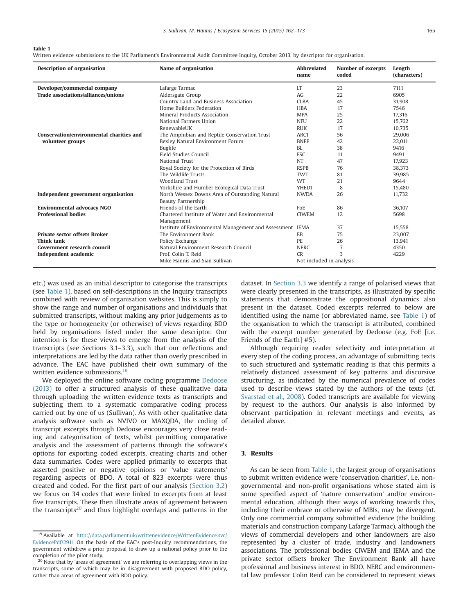#### <span id="page-3-0"></span>Table 1

Written evidence submissions to the UK Parliament's Environmental Audit Committee Inquiry, October 2013, by descriptor for organisation.

| Description of organisation              | Name of organisation                                 | <b>Abbreviated</b><br>name | <b>Number of excerpts</b><br>coded | Length<br>(characters) |
|------------------------------------------|------------------------------------------------------|----------------------------|------------------------------------|------------------------|
| Developer/commercial company             | Lafarge Tarmac                                       | LT                         | 23                                 | 7111                   |
| Trade associations/alliances/unions      | Aldersgate Group                                     | AGr                        | 22                                 | 6905                   |
|                                          | Country Land and Business Association                | <b>CLBA</b>                | 45                                 | 31.908                 |
|                                          | Home Builders Federation                             | <b>HBA</b>                 | 17                                 | 7546                   |
|                                          | Mineral Products Association                         | <b>MPA</b>                 | 25                                 | 17.316                 |
|                                          | National Farmers Union                               | <b>NFU</b>                 | 22                                 | 15,762                 |
|                                          | <b>RenewableUK</b>                                   | <b>RUK</b>                 | 17                                 | 10.735                 |
| Conservation/environmental charities and | The Amphibian and Reptile Conservation Trust         | <b>ARCT</b>                | 56                                 | 29,006                 |
| volunteer groups                         | Bexley Natural Environment Forum                     | <b>BNEF</b>                | 42                                 | 22,011                 |
|                                          | <b>Buglife</b>                                       | BL.                        | 38                                 | 9416                   |
|                                          | <b>Field Studies Council</b>                         | <b>FSC</b>                 | 11                                 | 9491                   |
|                                          | National Trust                                       | <b>NT</b>                  | 47                                 | 17.923                 |
|                                          | Royal Society for the Protection of Birds            | <b>RSPB</b>                | 76                                 | 38.373                 |
|                                          | The Wildlife Trusts                                  | <b>TWT</b>                 | 81                                 | 39,985                 |
|                                          | <b>Woodland Trust</b>                                | <b>WT</b>                  | 21                                 | 9644                   |
|                                          | Yorkshire and Humber Ecological Data Trust           | YHEDT                      | 8                                  | 15.480                 |
| Independent government organisation      | North Wessex Downs Area of Outstanding Natural       | <b>NWDA</b>                | 26                                 | 11,732                 |
|                                          | Beauty Partnership                                   |                            |                                    |                        |
| <b>Environmental advocacy NGO</b>        | Friends of the Earth                                 | FoE                        | 86                                 | 36.107                 |
| <b>Professional bodies</b>               | Chartered Institute of Water and Environmental       | <b>CIWEM</b>               | 12                                 | 5698                   |
|                                          | Management                                           |                            |                                    |                        |
|                                          | Institute of Environmental Management and Assessment | <b>IEMA</b>                | 37                                 | 15,558                 |
| <b>Private sector offsets Broker</b>     | The Environment Bank                                 | EB                         | 75                                 | 23.007                 |
| <b>Think tank</b>                        | Policy Exchange                                      | PE.                        | 26                                 | 13,941                 |
| <b>Government research council</b>       | Natural Environment Research Council                 | <b>NERC</b>                | 7                                  | 4350                   |
| Independent academic                     | Prof. Colin T. Reid                                  | <b>CR</b>                  | 3                                  | 4229                   |
|                                          | Mike Hannis and Sian Sullivan                        | Not included in analysis   |                                    |                        |

etc.) was used as an initial descriptor to categorise the transcripts (see Table 1), based on self-descriptions in the Inquiry transcripts combined with review of organisation websites. This is simply to show the range and number of organisations and individuals that submitted transcripts, without making any prior judgements as to the type or homogeneity (or otherwise) of views regarding BDO held by organisations listed under the same descriptor. Our intention is for these views to emerge from the analysis of the transcripts (see Sections 3.1–3.3), such that our reflections and interpretations are led by the data rather than overly prescribed in advance. The EAC have published their own summary of the written evidence submissions.<sup>19</sup>

We deployed the online software coding programme [Dedoose](#page-11-0) [\(2013\)](#page-11-0) to offer a structured analysis of these qualitative data through uploading the written evidence texts as transcripts and subjecting them to a systematic comparative coding process carried out by one of us (Sullivan). As with other qualitative data analysis software such as NVIVO or MAXQDA, the coding of transcript excerpts through Dedoose encourages very close reading and categorisation of texts, whilst permitting comparative analysis and the assessment of patterns through the software's options for exporting coded excerpts, creating charts and other data summaries. Codes were applied primarily to excerpts that asserted positive or negative opinions or 'value statements' regarding aspects of BDO. A total of 823 excerpts were thus created and coded. For the first part of our analysis [\(Section 3.2\)](#page-5-0) we focus on 34 codes that were linked to excerpts from at least five transcripts. These then illustrate areas of agreement between the transcripts $20$  and thus highlight overlaps and patterns in the

dataset. In [Section 3.3](#page-9-0) we identify a range of polarised views that were clearly presented in the transcripts, as illustrated by specific statements that demonstrate the oppositional dynamics also present in the dataset. Coded excerpts referred to below are identified using the name (or abbreviated name, see Table 1) of the organisation to which the transcript is attributed, combined with the excerpt number generated by Dedoose (e.g. FoE [i.e. Friends of the Earth] #5).

Although requiring reader selectivity and interpretation at every step of the coding process, an advantage of submitting texts to such structured and systematic reading is that this permits a relatively distanced assessment of key patterns and discursive structuring, as indicated by the numerical prevalence of codes used to describe views stated by the authors of the texts (cf. [Svarstad et al., 2008\)](#page-11-0). Coded transcripts are available for viewing by request to the authors. Our analysis is also informed by observant participation in relevant meetings and events, as detailed above.

# 3. Results

As can be seen from Table 1, the largest group of organisations to submit written evidence were 'conservation charities', i.e. nongovernmental and non-profit organisations whose stated aim is some specified aspect of 'nature conservation' and/or environmental education, although their ways of working towards this, including their embrace or otherwise of MBIs, may be divergent. Only one commercial company submitted evidence (the building materials and construction company Lafarge Tarmac), although the views of commercial developers and other landowners are also represented by a cluster of trade, industry and landowners associations. The professional bodies CIWEM and IEMA and the private sector offsets broker The Environment Bank all have professional and business interest in BDO. NERC and environmental law professor Colin Reid can be considered to represent views

<sup>19</sup> Available at [http://data.parliament.uk/writtenevidence/WrittenEvidence.svc/](http://data.parliament.uk/writtenevidence/WrittenEvidence.svc/EvidencePdf/2911) [EvidencePdf/2911](http://data.parliament.uk/writtenevidence/WrittenEvidence.svc/EvidencePdf/2911) On the basis of the EAC's post-Inquiry recommendations, the government withdrew a prior proposal to draw up a national policy prior to the completion of the pilot study.

 $\hat{P}$  Note that by 'areas of agreement' we are referring to overlapping views in the transcripts, some of which may be in disagreement with proposed BDO policy, rather than areas of agreement with BDO policy.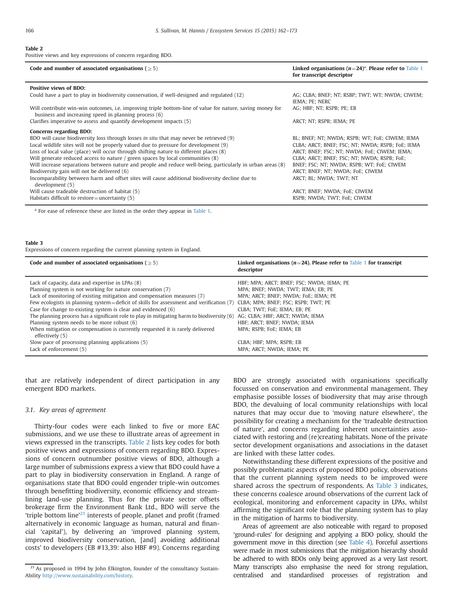#### <span id="page-4-0"></span>Table 2

Positive views and key expressions of concern regarding BDO.

| Code and number of associated organisations ( $\geq$ 5)                                                                                                            | Linked organisations $(n=24)^{a}$ . Please refer to Table 1<br>for transcript descriptor |
|--------------------------------------------------------------------------------------------------------------------------------------------------------------------|------------------------------------------------------------------------------------------|
| <b>Positive views of BDO:</b>                                                                                                                                      |                                                                                          |
| Could have a part to play in biodiversity conservation, if well-designed and regulated (12)                                                                        | AG; CLBA; BNEF; NT; RSBP; TWT; WT; NWDA; CIWEM;<br>IEMA; PE; NERC                        |
| Will contribute win-win outcomes, i.e. improving triple bottom-line of value for nature, saving money for<br>business and increasing speed in planning process (6) | AG; HBF; NT; RSPB; PE; EB                                                                |
| Clarifies imperative to assess and quantify development impacts (5)                                                                                                | ARCT: NT: RSPB: IEMA: PE                                                                 |
| <b>Concerns regarding BDO:</b>                                                                                                                                     |                                                                                          |
| BDO will cause biodiversity loss through losses in situ that may never be retrieved (9)                                                                            | BL; BNEF; NT; NWDA; RSPB; WT; FoE; CIWEM; IEMA                                           |
| Local wildlife sites will not be properly valued due to pressure for development (9)                                                                               | CLBA; ARCT; BNEF; FSC; NT; NWDA; RSPB; FoE; IEMA                                         |
| Loss of local value (place) will occur through shifting nature to different places (8)                                                                             | ARCT; BNEF; FSC; NT; NWDA; FoE; CIWEM; IEMA;                                             |
| Will generate reduced access to nature / green spaces by local communities $(8)$                                                                                   | CLBA; ARCT; BNEF; FSC; NT; NWDA; RSPB; FoE;                                              |
| Will increase separations between nature and people and reduce well-being, particularly in urban areas (8)                                                         | BNEF; FSC; NT; NWDA; RSPB; WT; FoE; CIWEM                                                |
| Biodiversity gain will not be delivered (6)                                                                                                                        | ARCT; BNEF; NT; NWDA; FoE; CIWEM                                                         |
| Incomparability between harm and offset sites will cause additional biodiversity decline due to<br>development (5)                                                 | ARCT; BL; NWDA; TWT; NT                                                                  |
| Will cause tradeable destruction of habitat (5)                                                                                                                    | ARCT; BNEF; NWDA; FoE; CIWEM                                                             |
| Habitats difficult to restore = uncertainty $(5)$                                                                                                                  | RSPB; NWDA; TWT; FoE; CIWEM                                                              |
|                                                                                                                                                                    |                                                                                          |

<sup>a</sup> For ease of reference these are listed in the order they appear in [Table 1.](#page-3-0)

#### Table 3

Expressions of concern regarding the current planning system in England.

| Code and number of associated organisations ( $\geq 5$ )                                                                    | Linked organisations ( $n=24$ ). Please refer to Table 1 for transcript<br>descriptor |
|-----------------------------------------------------------------------------------------------------------------------------|---------------------------------------------------------------------------------------|
| Lack of capacity, data and expertise in LPAs (8)                                                                            | HBF; MPA; ARCT; BNEF; FSC; NWDA; IEMA; PE                                             |
| Planning system is not working for nature conservation (7)                                                                  | MPA: BNEF: NWDA: TWT: IEMA: EB: PE                                                    |
| Lack of monitoring of existing mitigation and compensation measures (7)                                                     | MPA; ARCT; BNEF; NWDA; FoE; IEMA; PE                                                  |
| Few ecologists in planning system=deficit of skills for assessment and verification (7) CLBA; MPA; BNEF; FSC; RSPB; TWT; PE |                                                                                       |
| Case for change to existing system is clear and evidenced (6)                                                               | CLBA; TWT; FoE; IEMA; EB; PE                                                          |
| The planning process has a significant role to play in mitigating harm to biodiversity (6) AG; CLBA; HBF; ARCT; NWDA; IEMA  |                                                                                       |
| Planning system needs to be more robust (6)                                                                                 | HBF: ARCT: BNEF: NWDA: IEMA                                                           |
| When mitigation or compensation is currently requested it is rarely delivered<br>effectively (5)                            | MPA: RSPB: FoE: IEMA: EB                                                              |
| Slow pace of processing planning applications (5)                                                                           | CLBA: HBF: MPA: RSPB: EB                                                              |
| Lack of enforcement (5)                                                                                                     | MPA: ARCT: NWDA: IEMA: PE                                                             |

that are relatively independent of direct participation in any emergent BDO markets.

#### 3.1. Key areas of agreement

Thirty-four codes were each linked to five or more EAC submissions, and we use these to illustrate areas of agreement in views expressed in the transcripts. Table 2 lists key codes for both positive views and expressions of concern regarding BDO. Expressions of concern outnumber positive views of BDO, although a large number of submissions express a view that BDO could have a part to play in biodiversity conservation in England. A range of organisations state that BDO could engender triple-win outcomes through benefitting biodiversity, economic efficiency and streamlining land-use planning. Thus for the private sector offsets brokerage firm the Environment Bank Ltd., BDO will serve the 'triple bottom line'<sup>21</sup> interests of people, planet and profit (framed alternatively in economic language as human, natural and financial 'capital'), by delivering an 'improved planning system, improved biodiversity conservation, [and] avoiding additional costs' to developers (EB #13,39: also HBF #9). Concerns regarding BDO are strongly associated with organisations specifically focussed on conservation and environmental management. They emphasise possible losses of biodiversity that may arise through BDO, the devaluing of local community relationships with local natures that may occur due to 'moving nature elsewhere', the possibility for creating a mechanism for the 'tradeable destruction of nature', and concerns regarding inherent uncertainties associated with restoring and (re)creating habitats. None of the private sector development organisations and associations in the dataset are linked with these latter codes.

Notwithstanding these different expressions of the positive and possibly problematic aspects of proposed BDO policy, observations that the current planning system needs to be improved were shared across the spectrum of respondents. As Table 3 indicates, these concerns coalesce around observations of the current lack of ecological, monitoring and enforcement capacity in LPAs, whilst affirming the significant role that the planning system has to play in the mitigation of harms to biodiversity.

Areas of agreement are also noticeable with regard to proposed 'ground-rules' for designing and applying a BDO policy, should the government move in this direction (see [Table 4\)](#page-5-0). Forceful assertions were made in most submissions that the mitigation hierarchy should be adhered to with BDOs only being approved as a very last resort. Many transcripts also emphasise the need for strong regulation, centralised and standardised processes of registration and

<sup>21</sup> As proposed in 1994 by John Elkington, founder of the consultancy Sustain-Ability [http://www.sustainability.com/history.](http://www.sustainability.com/history)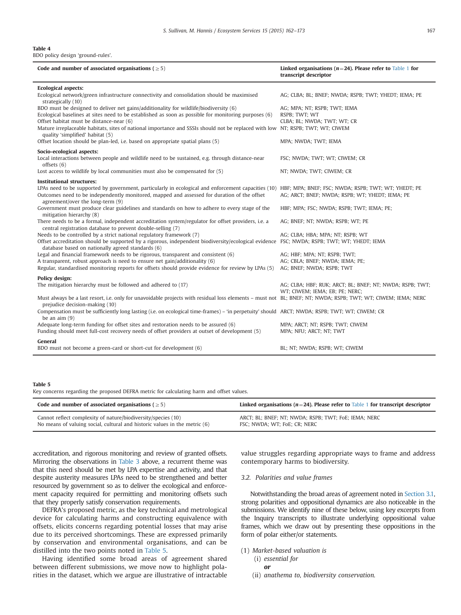#### <span id="page-5-0"></span>Table 4

BDO policy design 'ground-rules'.

| Code and number of associated organisations ( $\geq 5$ )                                                                                                                                                                                                                                   | Linked organisations ( $n=24$ ). Please refer to Table 1 for<br>transcript descriptor      |  |
|--------------------------------------------------------------------------------------------------------------------------------------------------------------------------------------------------------------------------------------------------------------------------------------------|--------------------------------------------------------------------------------------------|--|
| <b>Ecological aspects:</b>                                                                                                                                                                                                                                                                 |                                                                                            |  |
| Ecological network/green infrastructure connectivity and consolidation should be maximised<br>strategically (10)                                                                                                                                                                           | AG; CLBA; BL; BNEF; NWDA; RSPB; TWT; YHEDT; IEMA; PE                                       |  |
| BDO must be designed to deliver net gains/additionality for wildlife/biodiversity (6)                                                                                                                                                                                                      | AG; MPA; NT; RSPB; TWT; IEMA                                                               |  |
| Ecological baselines at sites need to be established as soon as possible for monitoring purposes (6)<br>Offset habitat must be distance-near (6)                                                                                                                                           | RSPB; TWT; WT<br>CLBA; BL; NWDA; TWT; WT; CR                                               |  |
| Mature irreplaceable habitats, sites of national importance and SSSIs should not be replaced with low NT; RSPB; TWT; WT; CIWEM<br>quality 'simplified' habitat (5)                                                                                                                         |                                                                                            |  |
| Offset location should be plan-led, i.e. based on appropriate spatial plans (5)                                                                                                                                                                                                            | MPA; NWDA; TWT; IEMA                                                                       |  |
| Socio-ecological aspects:                                                                                                                                                                                                                                                                  |                                                                                            |  |
| Local interactions between people and wildlife need to be sustained, e.g. through distance-near<br>offsets $(6)$                                                                                                                                                                           | FSC; NWDA; TWT; WT; CIWEM; CR                                                              |  |
| Lost access to wildlife by local communities must also be compensated for (5)                                                                                                                                                                                                              | NT; NWDA; TWT; CIWEM; CR                                                                   |  |
| <b>Institutional structures:</b>                                                                                                                                                                                                                                                           |                                                                                            |  |
| LPAs need to be supported by government, particularly in ecological and enforcement capacities (10) HBF; MPA; BNEF; FSC; NWDA; RSPB; TWT; WT; YHEDT; PE<br>Outcomes need to be independently monitored, mapped and assessed for duration of the offset<br>agreement/over the long-term (9) | AG; ARCT; BNEF; NWDA; RSPB; WT; YHEDT; IEMA; PE                                            |  |
| Government must produce clear guidelines and standards on how to adhere to every stage of the<br>mitigation hierarchy (8)                                                                                                                                                                  | HBF; MPA; FSC; NWDA; RSPB; TWT; IEMA; PE;                                                  |  |
| There needs to be a formal, independent accreditation system/regulator for offset providers, i.e. a<br>central registration database to prevent double-selling (7)                                                                                                                         | AG; BNEF; NT; NWDA; RSPB; WT; PE                                                           |  |
| Needs to be controlled by a strict national regulatory framework (7)                                                                                                                                                                                                                       | AG; CLBA; HBA; MPA; NT; RSPB; WT                                                           |  |
| Offset accreditation should be supported by a rigorous, independent biodiversity/ecological evidence FSC; NWDA; RSPB; TWT; WT; YHEDT; IEMA<br>database based on nationally agreed standards (6)                                                                                            |                                                                                            |  |
| Legal and financial framework needs to be rigorous, transparent and consistent (6)                                                                                                                                                                                                         | AG; HBF; MPA; NT; RSPB; TWT;                                                               |  |
| A transparent, robust approach is need to ensure net gain/additionality (6)                                                                                                                                                                                                                | AG; CBLA; BNEF; NWDA; IEMA; PE;                                                            |  |
| Regular, standardised monitoring reports for offsets should provide evidence for review by LPAs (5)                                                                                                                                                                                        | AG; BNEF; NWDA; RSPB; TWT                                                                  |  |
| Policy design:                                                                                                                                                                                                                                                                             |                                                                                            |  |
| The mitigation hierarchy must be followed and adhered to (17)                                                                                                                                                                                                                              | AG; CLBA; HBF; RUK; ARCT; BL; BNEF; NT; NWDA; RSPB; TWT;<br>WT; CIWEM; IEMA; EB; PE; NERC; |  |
| Must always be a last resort, i.e. only for unavoidable projects with residual loss elements - must not BL; BNEF; NT; NWDA; RSPB; TWT; WT; CIWEM; IEMA; NERC<br>prejudice decision-making (10)                                                                                             |                                                                                            |  |
| Compensation must be sufficiently long lasting (i.e. on ecological time-frames) – 'in perpetuity' should ARCT; NWDA; RSPB; TWT; WT; CIWEM; CR<br>be an $\dim(9)$                                                                                                                           |                                                                                            |  |
| Adequate long-term funding for offset sites and restoration needs to be assured (6)                                                                                                                                                                                                        | MPA; ARCT; NT; RSPB; TWT; CIWEM                                                            |  |
| Funding should meet full-cost recovery needs of offset providers at outset of development (5)                                                                                                                                                                                              | MPA; NFU; ARCT; NT; TWT                                                                    |  |
| General                                                                                                                                                                                                                                                                                    |                                                                                            |  |
| BDO must not become a green-card or short-cut for development (6)                                                                                                                                                                                                                          | BL; NT; NWDA; RSPB; WT; CIWEM                                                              |  |

#### Table 5

Key concerns regarding the proposed DEFRA metric for calculating harm and offset values.

| Code and number of associated organisations ( $\geq 5$ )                     | Linked organisations ( $n=24$ ). Please refer to Table 1 for transcript descriptor |
|------------------------------------------------------------------------------|------------------------------------------------------------------------------------|
| Cannot reflect complexity of nature/biodiversity/species (10)                | ARCT; BL; BNEF; NT; NWDA; RSPB; TWT; FoE; IEMA; NERC                               |
| No means of valuing social, cultural and historic values in the metric $(6)$ | FSC; NWDA; WT; FoE; CR; NERC                                                       |

accreditation, and rigorous monitoring and review of granted offsets. Mirroring the observations in [Table 3](#page-4-0) above, a recurrent theme was that this need should be met by LPA expertise and activity, and that despite austerity measures LPAs need to be strengthened and better resourced by government so as to deliver the ecological and enforcement capacity required for permitting and monitoring offsets such that they properly satisfy conservation requirements.

DEFRA's proposed metric, as the key technical and metrological device for calculating harms and constructing equivalence with offsets, elicits concerns regarding potential losses that may arise due to its perceived shortcomings. These are expressed primarily by conservation and environmental organisations, and can be distilled into the two points noted in Table 5.

Having identified some broad areas of agreement shared between different submissions, we move now to highlight polarities in the dataset, which we argue are illustrative of intractable

value struggles regarding appropriate ways to frame and address contemporary harms to biodiversity.

# 3.2. Polarities and value frames

Notwithstanding the broad areas of agreement noted in [Section 3.1,](#page-4-0) strong polarities and oppositional dynamics are also noticeable in the submissions. We identify nine of these below, using key excerpts from the Inquiry transcripts to illustrate underlying oppositional value frames, which we draw out by presenting these oppositions in the form of polar either/or statements.

# (1) Market-based valuation is

- (i) essential for
- or (ii) anathema to, biodiversity conservation.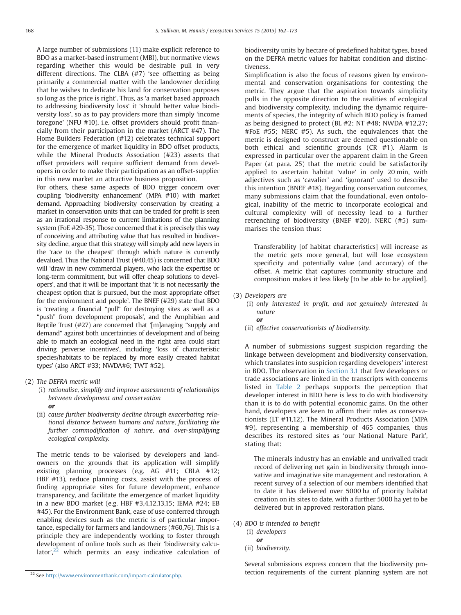A large number of submissions (11) make explicit reference to BDO as a market-based instrument (MBI), but normative views regarding whether this would be desirable pull in very different directions. The CLBA (#7) 'see offsetting as being primarily a commercial matter with the landowner deciding that he wishes to dedicate his land for conservation purposes so long as the price is right'. Thus, as 'a market based approach to addressing biodiversity loss' it 'should better value biodiversity loss', so as to pay providers more than simply 'income foregone' (NFU #10), i.e. offset providers should profit financially from their participation in the market (ARCT #47). The Home Builders Federation (#12) celebrates technical support for the emergence of market liquidity in BDO offset products, while the Mineral Products Association (#23) asserts that offset providers will require sufficient demand from developers in order to make their participation as an offset-supplier in this new market an attractive business proposition.

For others, these same aspects of BDO trigger concern over coupling 'biodiversity enhancement' (MPA #10) with market demand. Approaching biodiversity conservation by creating a market in conservation units that can be traded for profit is seen as an irrational response to current limitations of the planning system (FoE #29-35). Those concerned that it is precisely this way of conceiving and attributing value that has resulted in biodiversity decline, argue that this strategy will simply add new layers in the 'race to the cheapest' through which nature is currently devalued. Thus the National Trust (#40,45) is concerned that BDO will 'draw in new commercial players, who lack the expertise or long-term commitment, but will offer cheap solutions to developers', and that it will be important that 'it is not necessarily the cheapest option that is pursued, but the most appropriate offset for the environment and people'. The BNEF (#29) state that BDO is 'creating a financial "pull" for destroying sites as well as a "push" from development proposals', and the Amphibian and Reptile Trust (#27) are concerned that '[m]anaging "supply and demand" against both uncertainties of development and of being able to match an ecological need in the right area could start driving perverse incentives', including 'loss of characteristic species/habitats to be replaced by more easily created habitat types' (also ARCT #33; NWDA#6; TWT #52).

- (2) The DEFRA metric will
	- (i) rationalise, simplify and improve assessments of relationships between development and conservation or
	- (ii) cause further biodiversity decline through exacerbating relational distance between humans and nature, facilitating the further commodification of nature, and over-simplifying ecological complexity.

The metric tends to be valorised by developers and landowners on the grounds that its application will simplify existing planning processes (e.g. AG #11; CBLA #12; HBF #13), reduce planning costs, assist with the process of finding appropriate sites for future development, enhance transparency, and facilitate the emergence of market liquidity in a new BDO market (e.g. HBF #3,4,12,13,15; IEMA #24; EB #45). For the Environment Bank, ease of use conferred through enabling devices such as the metric is of particular importance, especially for farmers and landowners (#60,76). This is a principle they are independently working to foster through development of online tools such as their 'biodiversity calculator',<sup>22</sup> which permits an easy indicative calculation of

biodiversity units by hectare of predefined habitat types, based on the DEFRA metric values for habitat condition and distinctiveness.

Simplification is also the focus of reasons given by environmental and conservation organisations for contesting the metric. They argue that the aspiration towards simplicity pulls in the opposite direction to the realities of ecological and biodiversity complexity, including the dynamic requirements of species, the integrity of which BDO policy is framed as being designed to protect (BL #2; NT #48; NWDA #12,27; #FoE #55; NERC #5). As such, the equivalences that the metric is designed to construct are deemed questionable on both ethical and scientific grounds (CR #1). Alarm is expressed in particular over the apparent claim in the Green Paper (at para. 25) that the metric could be satisfactorily applied to ascertain habitat 'value' in only 20 min, with adjectives such as 'cavalier' and 'ignorant' used to describe this intention (BNEF #18). Regarding conservation outcomes, many submissions claim that the foundational, even ontological, inability of the metric to incorporate ecological and cultural complexity will of necessity lead to a further retrenching of biodiversity (BNEF #20). NERC (#5) summarises the tension thus:

Transferability [of habitat characteristics] will increase as the metric gets more general, but will lose ecosystem specificity and potentially value (and accuracy) of the offset. A metric that captures community structure and composition makes it less likely [to be able to be applied].

- (3) Developers are
	- (i) only interested in profit, and not genuinely interested in nature or
	- (ii) effective conservationists of biodiversity.

A number of submissions suggest suspicion regarding the linkage between development and biodiversity conservation, which translates into suspicion regarding developers' interest in BDO. The observation in [Section 3.1](#page-4-0) that few developers or trade associations are linked in the transcripts with concerns listed in [Table 2](#page-4-0) perhaps supports the perception that developer interest in BDO here is less to do with biodiversity than it is to do with potential economic gains. On the other hand, developers are keen to affirm their roles as conservationists (LT #11,12). The Mineral Products Association (MPA #9), representing a membership of 465 companies, thus describes its restored sites as 'our National Nature Park', stating that:

The minerals industry has an enviable and unrivalled track record of delivering net gain in biodiversity through innovative and imaginative site management and restoration. A recent survey of a selection of our members identified that to date it has delivered over 5000 ha of priority habitat creation on its sites to date, with a further 5000 ha yet to be delivered but in approved restoration plans.

- (4) BDO is intended to benefit
	- (i) developers or
	- (ii) biodiversity.

Several submissions express concern that the biodiversity pro $\frac{22 \text{ See } \text{http://www.environmentbank.com/impact-calculator.php.}}{\text{etc.}}$  $\frac{22 \text{ See } \text{http://www.environmentbank.com/impact-calculator.php.}}{\text{etc.}}$  $\frac{22 \text{ See } \text{http://www.environmentbank.com/impact-calculator.php.}}{\text{etc.}}$  tection requirements of the current planning system are not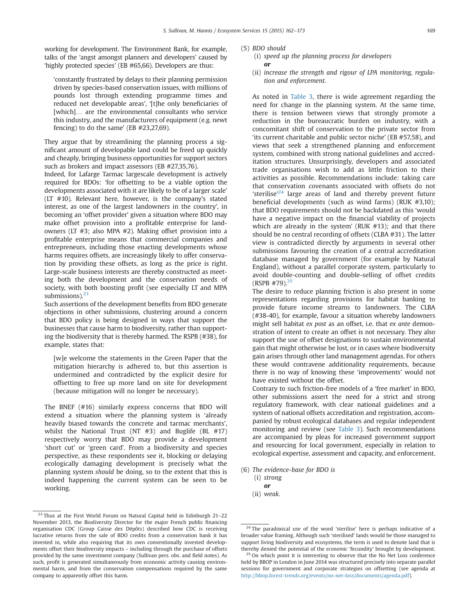working for development. The Environment Bank, for example, talks of the 'angst amongst planners and developers' caused by 'highly protected species' (EB #65,66). Developers are thus:

'constantly frustrated by delays to their planning permission driven by species-based conservation issues, with millions of pounds lost through extending programme times and reduced net developable areas', '[t]he only beneficiaries of [which]... are the environmental consultants who service this industry, and the manufacturers of equipment (e.g. newt fencing) to do the same' (EB #23,27,69).

They argue that by streamlining the planning process a significant amount of developable land could be freed up quickly and cheaply, bringing business opportunities for support sectors such as brokers and impact assessors (EB #27,35,76).

Indeed, for Lafarge Tarmac largescale development is actively required for BDOs: 'for offsetting to be a viable option the developments associated with it are likely to be of a larger scale' (LT #10). Relevant here, however, is the company's stated interest, as one of the largest landowners in the country', in becoming an 'offset provider' given a situation where BDO may make offset provision into a profitable enterprise for landowners (LT #3; also MPA #2). Making offset provision into a profitable enterprise means that commercial companies and entrepreneurs, including those enacting developments whose harms requires offsets, are increasingly likely to offer conservation by providing these offsets, as long as the price is right. Large-scale business interests are thereby constructed as meeting both the development and the conservation needs of society, with both boosting profit (see especially LT and MPA submissions).<sup>23</sup>

Such assertions of the development benefits from BDO generate objections in other submissions, clustering around a concern that BDO policy is being designed in ways that support the businesses that cause harm to biodiversity, rather than supporting the biodiversity that is thereby harmed. The RSPB (#38), for example, states that:

[w]e welcome the statements in the Green Paper that the mitigation hierarchy is adhered to, but this assertion is undermined and contradicted by the explicit desire for offsetting to free up more land on site for development (because mitigation will no longer be necessary).

The BNEF (#16) similarly express concerns that BDO will extend a situation where the planning system is 'already heavily biased towards the concrete and tarmac merchants', whilst the National Trust (NT #3) and Buglife (BL #17) respectively worry that BDO may provide a development 'short cut' or 'green card'. From a biodiversity and species perspective, as these respondents see it, blocking or delaying ecologically damaging development is precisely what the planning system should be doing, so to the extent that this is indeed happening the current system can be seen to be working.

- (5) BDO should
	- (i) speed up the planning process for developers or
	- (ii) increase the strength and rigour of LPA monitoring, regulation and enforcement.

As noted in [Table 3](#page-4-0), there is wide agreement regarding the need for change in the planning system. At the same time, there is tension between views that strongly promote a reduction in the bureaucratic burden on industry, with a concomitant shift of conservation to the private sector from 'its current charitable and public sector niche' (EB #57,58), and views that seek a strengthened planning and enforcement system, combined with strong national guidelines and accreditation structures. Unsurprisingly, developers and associated trade organisations wish to add as little friction to their activities as possible. Recommendations include: taking care that conservation covenants associated with offsets do not 'sterilise<sup>24</sup> large areas of land and thereby prevent future beneficial developments (such as wind farms) (RUK #3,10); that BDO requirements should not be backdated as this 'would have a negative impact on the financial viability of projects which are already in the system' (RUK #13); and that there should be no central recording of offsets (CLBA #31). The latter view is contradicted directly by arguments in several other submissions favouring the creation of a central accreditation database managed by government (for example by Natural England), without a parallel corporate system, particularly to avoid double-counting and double-selling of offset credits  $(RSPB #79).^{25}$ 

The desire to reduce planning friction is also present in some representations regarding provisions for habitat banking to provide future income streams to landowners. The CLBA (#38-40), for example, favour a situation whereby landowners might sell habitat ex post as an offset, i.e. that ex ante demonstration of intent to create an offset is not necessary. They also support the use of offset designations to sustain environmental gain that might otherwise be lost, or in cases where biodiversity gain arises through other land management agendas. For others these would contravene additionality requirements, because there is no way of knowing these 'improvements' would not have existed without the offset.

Contrary to such friction-free models of a 'free market' in BDO, other submissions assert the need for a strict and strong regulatory framework, with clear national guidelines and a system of national offsets accreditation and registration, accompanied by robust ecological databases and regular independent monitoring and review (see [Table 3](#page-4-0)). Such recommendations are accompanied by pleas for increased government support and resourcing for local government, especially in relation to ecological expertise, assessment and capacity, and enforcement.

- (6) The evidence-base for BDO is
	- (i) strong
	- or
	- (ii) weak.

<sup>&</sup>lt;sup>23</sup> Thus at the First World Forum on Natural Capital held in Edinburgh 21-22 November 2013, the Biodiversity Director for the major French public financing organisation CDC (Group Caisse des Dépôts) described how CDC is receiving lucrative returns from the sale of BDO credits from a conservation bank it has invested in, while also requiring that its own conventionally invested developments offset their biodiversity impacts – including through the purchase of offsets provided by the same investment company (Sullivan pers. obs. and field notes). As such, profit is generated simultaneously from economic activity causing environmental harm, and from the conservation compensations required by the same company to apparently offset this harm.

<sup>&</sup>lt;sup>24</sup> The paradoxical use of the word 'sterilise' here is perhaps indicative of a broader value framing. Although such 'sterilised' lands would be those managed to support living biodiversity and ecosystems, the term is used to denote land that is thereby denied the potential of the economic 'fecundity' brought by development.

 $25$  On which point it is interesting to observe that the No Net Loss conference held by BBOP in London in June 2014 was structured precisely into separate parallel sessions for government and corporate strategies on offsetting (see agenda at [http://bbop.forest-trends.org/events/no-net-loss/documents/agenda.pdf\)](http://bbop.forest-trends.org/events/no-net-loss/documents/agenda.pdf).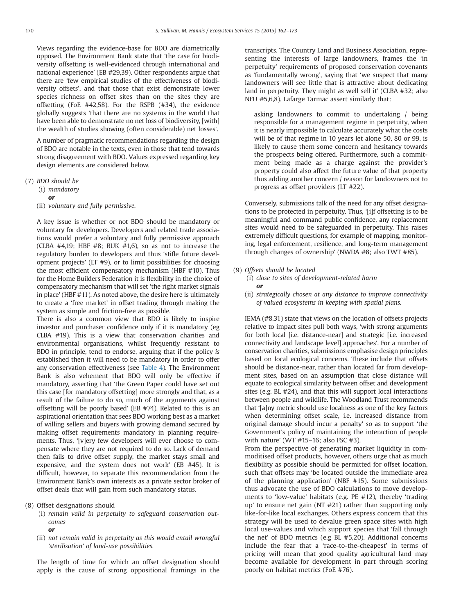Views regarding the evidence-base for BDO are diametrically opposed. The Environment Bank state that 'the case for biodiversity offsetting is well-evidenced through international and national experience' (EB #29,39). Other respondents argue that there are 'few empirical studies of the effectiveness of biodiversity offsets', and that those that exist demonstrate lower species richness on offset sites than on the sites they are offsetting (FoE #42,58). For the RSPB (#34), the evidence globally suggests 'that there are no systems in the world that have been able to demonstrate no net loss of biodiversity, [with] the wealth of studies showing (often considerable) net losses'.

A number of pragmatic recommendations regarding the design of BDO are notable in the texts, even in those that tend towards strong disagreement with BDO. Values expressed regarding key design elements are considered below.

- (7) BDO should be
	- (i) mandatory
		- or
	- (ii) voluntary and fully permissive.

A key issue is whether or not BDO should be mandatory or voluntary for developers. Developers and related trade associations would prefer a voluntary and fully permissive approach (CLBA #4,19; HBF #8; RUK #1,6), so as not to increase the regulatory burden to developers and thus 'stifle future development projects' (LT #9), or to limit possibilities for choosing the most efficient compensatory mechanism (HBF #10). Thus for the Home Builders Federation it is flexibility in the choice of compensatory mechanism that will set 'the right market signals in place' (HBF #11). As noted above, the desire here is ultimately to create a 'free market' in offset trading through making the system as simple and friction-free as possible.

There is also a common view that BDO is likely to inspire investor and purchaser confidence only if it is mandatory (eg CLBA #19). This is a view that conservation charities and environmental organisations, whilst frequently resistant to BDO in principle, tend to endorse, arguing that if the policy is established then it will need to be mandatory in order to offer any conservation effectiveness (see [Table 4](#page-5-0)). The Environment Bank is also vehement that BDO will only be effective if mandatory, asserting that 'the Green Paper could have set out this case [for mandatory offsetting] more strongly and that, as a result of the failure to do so, much of the arguments against offsetting will be poorly based' (EB #74). Related to this is an aspirational orientation that sees BDO working best as a market of willing sellers and buyers with growing demand secured by making offset requirements mandatory in planning requirements. Thus, '[v]ery few developers will ever choose to compensate where they are not required to do so. Lack of demand then fails to drive offset supply, the market stays small and expensive, and the system does not work' (EB #45). It is difficult, however, to separate this recommendation from the Environment Bank's own interests as a private sector broker of offset deals that will gain from such mandatory status.

- (8) Offset designations should
	- (i) remain valid in perpetuity to safeguard conservation outcomes or
	- (ii) not remain valid in perpetuity as this would entail wrongful 'sterilisation' of land-use possibilities.

The length of time for which an offset designation should apply is the cause of strong oppositional framings in the transcripts. The Country Land and Business Association, representing the interests of large landowners, frames the 'in perpetuity' requirements of proposed conservation covenants as 'fundamentally wrong', saying that 'we suspect that many landowners will see little that is attractive about dedicating land in perpetuity. They might as well sell it' (CLBA #32; also NFU #5,6,8). Lafarge Tarmac assert similarly that:

asking landowners to commit to undertaking / being responsible for a management regime in perpetuity, when it is nearly impossible to calculate accurately what the costs will be of that regime in 10 years let alone 50, 80 or 99, is likely to cause them some concern and hesitancy towards the prospects being offered. Furthermore, such a commitment being made as a charge against the provider's property could also affect the future value of that property thus adding another concern / reason for landowners not to progress as offset providers (LT #22).

Conversely, submissions talk of the need for any offset designations to be protected in perpetuity. Thus, '[i]f offsetting is to be meaningful and command public confidence, any replacement sites would need to be safeguarded in perpetuity. This raises extremely difficult questions, for example of mapping, monitoring, legal enforcement, resilience, and long-term management through changes of ownership' (NWDA #8; also TWT #85).

(9) Offsets should be located

(i) close to sites of development-related harm or

(ii) strategically chosen at any distance to improve connectivity of valued ecosystems in keeping with spatial plans.

IEMA (#8,31) state that views on the location of offsets projects relative to impact sites pull both ways, 'with strong arguments for both local [i.e. distance-near] and strategic [i.e. increased connectivity and landscape level] approaches'. For a number of conservation charities, submissions emphasise design principles based on local ecological concerns. These include that offsets should be distance-near, rather than located far from development sites, based on an assumption that close distance will equate to ecological similarity between offset and development sites (e.g. BL #24), and that this will support local interactions between people and wildlife. The Woodland Trust recommends that '[a]ny metric should use localness as one of the key factors when determining offset scale, i.e. increased distance from original damage should incur a penalty' so as to support 'the Government's policy of maintaining the interaction of people with nature' (WT #15–16; also FSC #3).

From the perspective of generating market liquidity in commoditised offset products, however, others urge that as much flexibility as possible should be permitted for offset location, such that offsets may 'be located outside the immediate area of the planning application' (NBF #15). Some submissions thus advocate the use of BDO calculations to move developments to 'low-value' habitats (e.g. PE #12), thereby 'trading up' to ensure net gain (NT #21) rather than supporting only like-for-like local exchanges. Others express concern that this strategy will be used to devalue green space sites with high local use-values and which support species that 'fall through the net' of BDO metrics (e.g BL #5,20). Additional concerns include the fear that a 'race-to-the-cheapest' in terms of pricing will mean that good quality agricultural land may become available for development in part through scoring poorly on habitat metrics (FoE #76).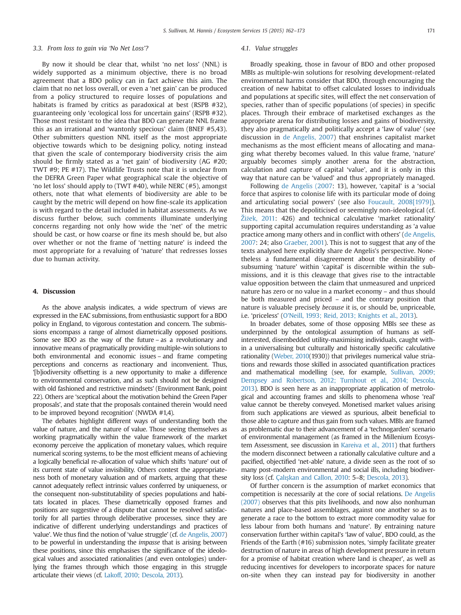#### <span id="page-9-0"></span>3.3. From loss to gain via 'No Net Loss'?

By now it should be clear that, whilst 'no net loss' (NNL) is widely supported as a minimum objective, there is no broad agreement that a BDO policy can in fact achieve this aim. The claim that no net loss overall, or even a 'net gain' can be produced from a policy structured to require losses of populations and habitats is framed by critics as paradoxical at best (RSPB #32), guaranteeing only 'ecological loss for uncertain gains' (RSPB #32). Those most resistant to the idea that BDO can generate NNL frame this as an irrational and 'wantonly specious' claim (BNEF #5,43). Other submitters question NNL itself as the most appropriate objective towards which to be designing policy, noting instead that given the scale of contemporary biodiversity crisis the aim should be firmly stated as a 'net gain' of biodiversity (AG #20; TWT #9; PE #17). The Wildlife Trusts note that it is unclear from the DEFRA Green Paper what geographical scale the objective of 'no let loss' should apply to (TWT #40), while NERC (#5), amongst others, note that what elements of biodiversity are able to be caught by the metric will depend on how fine-scale its application is with regard to the detail included in habitat assessments. As we discuss further below, such comments illuminate underlying concerns regarding not only how wide the 'net' of the metric should be cast, or how coarse or fine its mesh should be, but also over whether or not the frame of 'netting nature' is indeed the most appropriate for a revaluing of 'nature' that redresses losses due to human activity.

# 4. Discussion

As the above analysis indicates, a wide spectrum of views are expressed in the EAC submissions, from enthusiastic support for a BDO policy in England, to vigorous contestation and concern. The submissions encompass a range of almost diametrically opposed positions. Some see BDO as the way of the future – as a revolutionary and innovative means of pragmatically providing multiple-win solutions to both environmental and economic issues – and frame competing perceptions and concerns as reactionary and inconvenient. Thus, '[b]iodiversity offsetting is a new opportunity to make a difference to environmental conservation, and as such should not be designed with old fashioned and restrictive mindsets' (Environment Bank, point 22). Others are 'sceptical about the motivation behind the Green Paper proposals', and state that the proposals contained therein 'would need to be improved beyond recognition' (NWDA #1,4).

The debates highlight different ways of understanding both the value of nature, and the nature of value. Those seeing themselves as working pragmatically within the value framework of the market economy perceive the application of monetary values, which require numerical scoring systems, to be the most efficient means of achieving a logically beneficial re-allocation of value which shifts 'nature' out of its current state of value invisibility. Others contest the appropriateness both of monetary valuation and of markets, arguing that these cannot adequately reflect intrinsic values conferred by uniqueness, or the consequent non-substitutability of species populations and habitats located in places. These diametrically opposed frames and positions are suggestive of a dispute that cannot be resolved satisfactorily for all parties through deliberative processes, since they are indicative of different underlying understandings and practices of 'value'. We thus find the notion of 'value struggle' (cf. [de Angelis, 2007\)](#page-11-0) to be powerful in understanding the impasse that is arising between these positions, since this emphasises the significance of the ideological values and associated rationalities (and even ontologies) underlying the frames through which those engaging in this struggle articulate their views (cf. [Lakoff, 2010; Descola, 2013](#page-11-0)).

#### 4.1. Value struggles

Broadly speaking, those in favour of BDO and other proposed MBIs as multiple-win solutions for resolving development-related environmental harms consider that BDO, through encouraging the creation of new habitat to offset calculated losses to individuals and populations at specific sites, will effect the net conservation of species, rather than of specific populations (of species) in specific places. Through their embrace of marketised exchanges as the appropriate arena for distributing losses and gains of biodiversity, they also pragmatically and politically accept a 'law of value' (see discussion in [de Angelis, 2007](#page-11-0)) that enshrines capitalist market mechanisms as the most efficient means of allocating and managing what thereby becomes valued. In this value frame, 'nature' arguably becomes simply another arena for the abstraction, calculation and capture of capital 'value', and it is only in this way that nature can be 'valued' and thus appropriately managed.

Following [de Angelis \(2007](#page-11-0): 13), however, 'capital' is a 'social force that aspires to colonise life with its particular mode of doing and articulating social powers' (see also [Foucault, 2008\[1979\]\)](#page-11-0). This means that the depoliticised or seemingly non-ideological (cf. Žiž[ek, 2011:](#page-11-0) 426) and technical calculative 'market rationality' supporting capital accumulation requires understanding as 'a value practice among many others and in conflict with others' ([de Angelis,](#page-11-0) [2007](#page-11-0): 24; also [Graeber, 2001](#page-11-0)). This is not to suggest that any of the texts analysed here explicitly share de Angelis's perspective. Nonetheless a fundamental disagreement about the desirability of subsuming 'nature' within 'capital' is discernible within the submissions, and it is this cleavage that gives rise to the intractable value opposition between the claim that unmeasured and unpriced nature has zero or no value in a market economy – and thus should be both measured and priced – and the contrary position that nature is valuable precisely because it is, or should be, unpriceable, i.e. 'priceless' [\(O'Neill, 1993; Reid, 2013; Knights et al., 2013\)](#page-11-0).

In broader debates, some of those opposing MBIs see these as underpinned by the ontological assumption of humans as selfinterested, disembedded utility-maximising individuals, caught within a universalising but culturally and historically specific calculative rationality [\(Weber, 2010](#page-11-0)(1930)) that privileges numerical value striations and rewards those skilled in associated quantification practices and mathematical modelling (see, for example, [Sullivan, 2009;](#page-11-0) [Dempsey and Robertson, 2012; Turnhout et al., 2014; Descola,](#page-11-0) [2013\)](#page-11-0). BDO is seen here as an inappropriate application of metrological and accounting frames and skills to phenomena whose 'real' value cannot be thereby conveyed. Monetised market values arising from such applications are viewed as spurious, albeit beneficial to those able to capture and thus gain from such values. MBIs are framed as problematic due to their advancement of a 'technogarden' scenario of environmental management (as framed in the Millenium Ecosystem Assessment, see discussion in [Kareiva et al., 2011](#page-11-0)) that furthers the modern disconnect between a rationally calculative culture and a pacified, objectified 'net-able' nature, a divide seen as the root of so many post-modern environmental and social ills, including biodiversity loss (cf. Çalış[kan and Callon, 2010:](#page-11-0) 5–8; [Descola, 2013\)](#page-11-0).

Of further concern is the assumption of market economics that competition is necessarily at the core of social relations. [De Angelis](#page-11-0) [\(2007\)](#page-11-0) observes that this pits livelihoods, and now also nonhuman natures and place-based assemblages, against one another so as to generate a race to the bottom to extract more commodity value for less labour from both humans and 'nature'. By entraining nature conservation further within capital's 'law of value', BDO could, as the Friends of the Earth (#16) submission notes, 'simply facilitate greater destruction of nature in areas of high development pressure in return for a promise of habitat creation where land is cheaper', as well as reducing incentives for developers to incorporate spaces for nature on-site when they can instead pay for biodiversity in another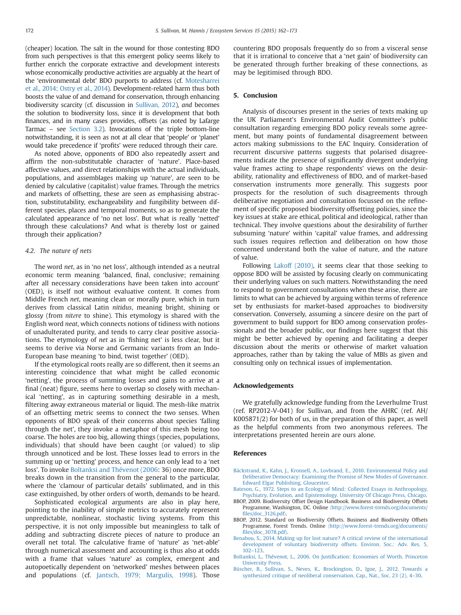<span id="page-10-0"></span>(cheaper) location. The salt in the wound for those contesting BDO from such perspectives is that this emergent policy seems likely to further enrich the corporate extractive and development interests whose economically productive activities are arguably at the heart of the 'environmental debt' BDO purports to address (cf. [Motesharrei](#page-11-0) [et al., 2014; Ostry et al., 2014](#page-11-0)). Development-related harm thus both boosts the value of and demand for conservation, through enhancing biodiversity scarcity (cf. discussion in [Sullivan, 2012\)](#page-11-0), and becomes the solution to biodiversity loss, since it is development that both finances, and in many cases provides, offsets (as noted by Lafarge Tarmac – see [Section 3.2\)](#page-5-0). Invocations of the triple bottom-line notwithstanding, it is seen as not at all clear that 'people' or 'planet' would take precedence if 'profits' were reduced through their care.

As noted above, opponents of BDO also repeatedly assert and affirm the non-substitutable character of 'nature'. Place-based affective values, and direct relationships with the actual individuals, populations, and assemblages making up 'nature', are seen to be denied by calculative (capitalist) value frames. Through the metrics and markets of offsetting, these are seen as emphasising abstraction, substitutability, exchangeability and fungibility between different species, places and temporal moments, so as to generate the calculated appearance of 'no net loss'. But what is really 'netted' through these calculations? And what is thereby lost or gained through their application?

# 4.2. The nature of nets

The word net, as in 'no net loss', although intended as a neutral economic term meaning 'balanced, final, conclusive; remaining after all necessary considerations have been taken into account' (OED), is itself not without evaluative content. It comes from Middle French net, meaning clean or morally pure, which in turn derives from classical Latin nitidus, meaning bright, shining or glossy (from nitēre to shine). This etymology is shared with the English word neat, which connects notions of tidiness with notions of unadulterated purity, and tends to carry clear positive associations. The etymology of net as in 'fishing net' is less clear, but it seems to derive via Norse and Germanic variants from an Indo-European base meaning 'to bind, twist together' (OED).

If the etymological roots really are so different, then it seems an interesting coincidence that what might be called economic 'netting', the process of summing losses and gains to arrive at a final (neat) figure, seems here to overlap so closely with mechanical 'netting', as in capturing something desirable in a mesh, filtering away extraneous material or liquid. The mesh-like matrix of an offsetting metric seems to connect the two senses. When opponents of BDO speak of their concerns about species 'falling through the net', they invoke a metaphor of this mesh being too coarse. The holes are too big, allowing things (species, populations, individuals) that should have been caught (or valued) to slip through unnoticed and be lost. These losses lead to errors in the summing up or 'netting' process, and hence can only lead to a 'net loss'. To invoke Boltanksi and Thévenot (2006: 36) once more, BDO breaks down in the transition from the general to the particular, where the 'clamour of particular details' sublimated, and in this case extinguished, by other orders of worth, demands to be heard.

Sophisticated ecological arguments are also in play here, pointing to the inability of simple metrics to accurately represent unpredictable, nonlinear, stochastic living systems. From this perspective, it is not only impossible but meaningless to talk of adding and subtracting discrete pieces of nature to produce an overall net total. The calculative frame of 'nature' as 'net-able' through numerical assessment and accounting is thus also at odds with a frame that values 'nature' as complex, emergent and autopoetically dependent on 'networked' meshes between places and populations (cf. [Jantsch, 1979; Margulis, 1998](#page-11-0)). Those countering BDO proposals frequently do so from a visceral sense that it is irrational to conceive that a 'net gain' of biodiversity can be generated through further breaking of these connections, as may be legitimised through BDO.

# 5. Conclusion

Analysis of discourses present in the series of texts making up the UK Parliament's Environmental Audit Committee's public consultation regarding emerging BDO policy reveals some agreement, but many points of fundamental disagreement between actors making submissions to the EAC Inquiry. Consideration of recurrent discursive patterns suggests that polarised disagreements indicate the presence of significantly divergent underlying value frames acting to shape respondents' views on the desirability, rationality and effectiveness of BDO, and of market-based conservation instruments more generally. This suggests poor prospects for the resolution of such disagreements through deliberative negotiation and consultation focussed on the refinement of specific proposed biodiversity offsetting policies, since the key issues at stake are ethical, political and ideological, rather than technical. They involve questions about the desirability of further subsuming 'nature' within 'capital' value frames, and addressing such issues requires reflection and deliberation on how those concerned understand both the value of nature, and the nature of value.

Following [Lakoff \(2010\),](#page-11-0) it seems clear that those seeking to oppose BDO will be assisted by focusing clearly on communicating their underlying values on such matters. Notwithstanding the need to respond to government consultations when these arise, there are limits to what can be achieved by arguing within terms of reference set by enthusiasts for market-based approaches to biodiversity conservation. Conversely, assuming a sincere desire on the part of government to build support for BDO among conservation professionals and the broader public, our findings here suggest that this might be better achieved by opening and facilitating a deeper discussion about the merits or otherwise of market valuation approaches, rather than by taking the value of MBIs as given and consulting only on technical issues of implementation.

#### Acknowledgements

We gratefully acknowledge funding from the Leverhulme Trust (ref. RP2012-V-041) for Sullivan, and from the AHRC (ref. AH/ K005871/2) for both of us, in the preparation of this paper, as well as the helpful comments from two anonymous referees. The interpretations presented herein are ours alone.

# References

- [Bäckstrand, K., Kahn, J., Kronsell, A., Lovbrand, E., 2010. Environmental Policy and](http://refhub.elsevier.com/S2212-0416(15)00010-8/sbref1) [Deliberative Democracy: Examining the Promise of New Modes of Governance.](http://refhub.elsevier.com/S2212-0416(15)00010-8/sbref1) [Edward Elgar Publishing, Gloucester.](http://refhub.elsevier.com/S2212-0416(15)00010-8/sbref1)
- [Bateson, G., 1972. Steps to an Ecology of Mind: Collected Essays in Anthropology,](http://refhub.elsevier.com/S2212-0416(15)00010-8/sbref2) [Psychiatry, Evolution, and Epistemology. University Of Chicago Press, Chicago.](http://refhub.elsevier.com/S2212-0416(15)00010-8/sbref2)
- BBOP, 2009. Biodiversity Offset Design Handbook. Business and Biodiversity Offsets Programme, Washington, DC. Online 〈[http://www.forest-trends.org/documents/](http://www.forest-trends.org/documents/files/doc_3126.pdf) fi[les/doc\\_3126.pdf](http://www.forest-trends.org/documents/files/doc_3126.pdf)〉.
- BBOP, 2012. Standard on Biodiversity Offsets. Business and Biodiversity Offsets Programme, Forest Trends. Online 〈[http://www.forest-trends.org/documents/](http://www.forest-trends.org/documents/files/doc_3078.pdf) fi[les/doc\\_3078.pdf](http://www.forest-trends.org/documents/files/doc_3078.pdf)〉.
- [Benabou, S., 2014. Making up for lost nature? A critical review of the international](http://refhub.elsevier.com/S2212-0416(15)00010-8/sbref3) [development of voluntary biodiversity offsets. Environ. Soc.: Adv. Res. 5,](http://refhub.elsevier.com/S2212-0416(15)00010-8/sbref3) 102–[123.](http://refhub.elsevier.com/S2212-0416(15)00010-8/sbref3)
- [Boltanksi, L., Thévenot, L., 2006. On Justi](http://refhub.elsevier.com/S2212-0416(15)00010-8/sbref4)fication: Economies of Worth. Princeton [University Press.](http://refhub.elsevier.com/S2212-0416(15)00010-8/sbref4)
- [Büscher, B., Sullivan, S., Neves, K., Brockington, D., Igoe, J., 2012. Towards a](http://refhub.elsevier.com/S2212-0416(15)00010-8/sbref5) [synthesized critique of neoliberal conservation. Cap., Nat., Soc. 23 \(2\), 4](http://refhub.elsevier.com/S2212-0416(15)00010-8/sbref5)–30.